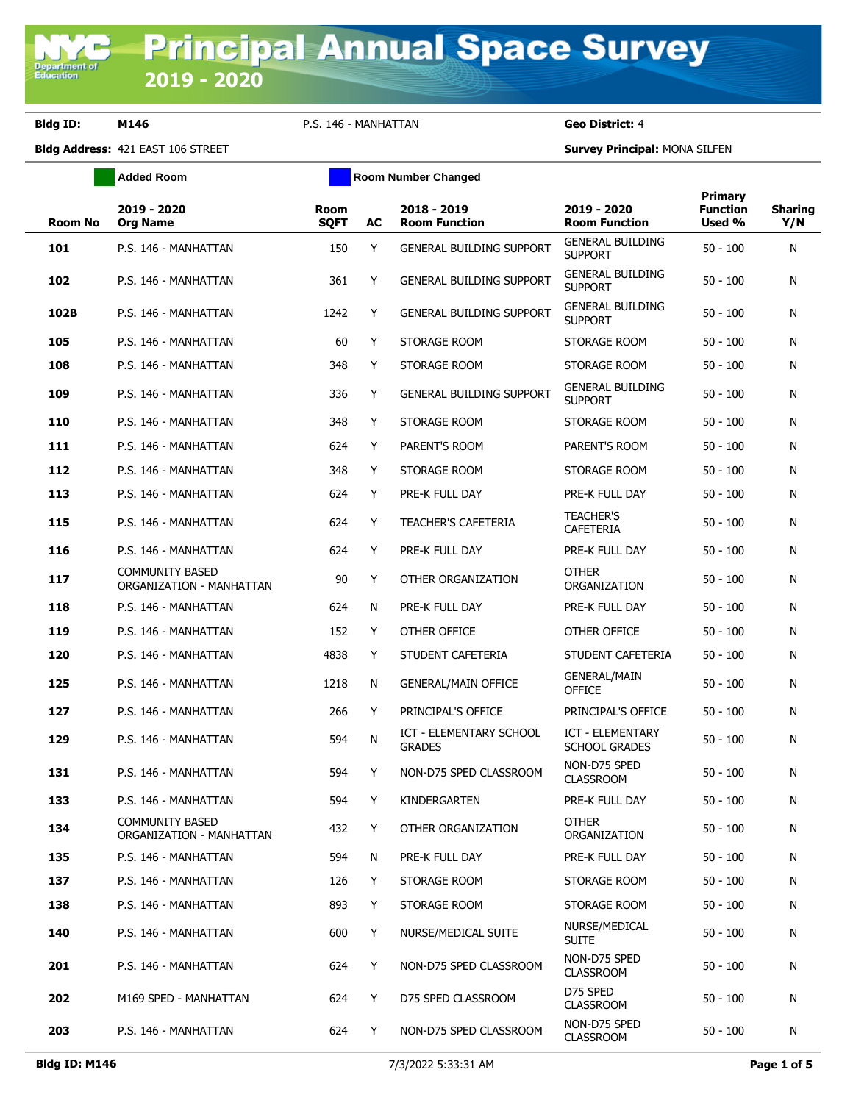**Department of**<br>Education

## **Bldg ID: M146** P.S. 146 - MANHATTAN **Geo District:** 4

|         | <b>Added Room</b>                                  |                     |    | <b>Room Number Changed</b>               |                                           |                                             |                       |
|---------|----------------------------------------------------|---------------------|----|------------------------------------------|-------------------------------------------|---------------------------------------------|-----------------------|
| Room No | 2019 - 2020<br><b>Org Name</b>                     | Room<br><b>SQFT</b> | AC | 2018 - 2019<br><b>Room Function</b>      | 2019 - 2020<br><b>Room Function</b>       | <b>Primary</b><br><b>Function</b><br>Used % | <b>Sharing</b><br>Y/N |
| 101     | P.S. 146 - MANHATTAN                               | 150                 | Y  | <b>GENERAL BUILDING SUPPORT</b>          | <b>GENERAL BUILDING</b><br><b>SUPPORT</b> | $50 - 100$                                  | N                     |
| 102     | P.S. 146 - MANHATTAN                               | 361                 | Y  | <b>GENERAL BUILDING SUPPORT</b>          | <b>GENERAL BUILDING</b><br><b>SUPPORT</b> | $50 - 100$                                  | N                     |
| 102B    | P.S. 146 - MANHATTAN                               | 1242                | Y  | <b>GENERAL BUILDING SUPPORT</b>          | <b>GENERAL BUILDING</b><br><b>SUPPORT</b> | $50 - 100$                                  | N                     |
| 105     | P.S. 146 - MANHATTAN                               | 60                  | Y  | STORAGE ROOM                             | STORAGE ROOM                              | $50 - 100$                                  | N                     |
| 108     | P.S. 146 - MANHATTAN                               | 348                 | Y  | STORAGE ROOM                             | STORAGE ROOM                              | $50 - 100$                                  | N                     |
| 109     | P.S. 146 - MANHATTAN                               | 336                 | Y  | <b>GENERAL BUILDING SUPPORT</b>          | <b>GENERAL BUILDING</b><br><b>SUPPORT</b> | $50 - 100$                                  | N                     |
| 110     | P.S. 146 - MANHATTAN                               | 348                 | Y  | STORAGE ROOM                             | STORAGE ROOM                              | $50 - 100$                                  | N                     |
| 111     | P.S. 146 - MANHATTAN                               | 624                 | Y  | PARENT'S ROOM                            | PARENT'S ROOM                             | $50 - 100$                                  | N                     |
| 112     | P.S. 146 - MANHATTAN                               | 348                 | Y  | STORAGE ROOM                             | STORAGE ROOM                              | $50 - 100$                                  | N                     |
| 113     | P.S. 146 - MANHATTAN                               | 624                 | Y  | PRE-K FULL DAY                           | PRE-K FULL DAY                            | $50 - 100$                                  | N                     |
| 115     | P.S. 146 - MANHATTAN                               | 624                 | Y  | <b>TEACHER'S CAFETERIA</b>               | <b>TEACHER'S</b><br><b>CAFETERIA</b>      | $50 - 100$                                  | N                     |
| 116     | P.S. 146 - MANHATTAN                               | 624                 | Y  | PRE-K FULL DAY                           | PRE-K FULL DAY                            | $50 - 100$                                  | N                     |
| 117     | <b>COMMUNITY BASED</b><br>ORGANIZATION - MANHATTAN | 90                  | Y  | OTHER ORGANIZATION                       | <b>OTHER</b><br>ORGANIZATION              | $50 - 100$                                  | N                     |
| 118     | P.S. 146 - MANHATTAN                               | 624                 | N  | PRE-K FULL DAY                           | PRE-K FULL DAY                            | $50 - 100$                                  | N                     |
| 119     | P.S. 146 - MANHATTAN                               | 152                 | Y  | OTHER OFFICE                             | OTHER OFFICE                              | $50 - 100$                                  | N                     |
| 120     | P.S. 146 - MANHATTAN                               | 4838                | Y  | STUDENT CAFETERIA                        | STUDENT CAFETERIA                         | $50 - 100$                                  | N                     |
| 125     | P.S. 146 - MANHATTAN                               | 1218                | N  | <b>GENERAL/MAIN OFFICE</b>               | <b>GENERAL/MAIN</b><br><b>OFFICE</b>      | $50 - 100$                                  | N                     |
| 127     | P.S. 146 - MANHATTAN                               | 266                 | Y  | PRINCIPAL'S OFFICE                       | PRINCIPAL'S OFFICE                        | $50 - 100$                                  | N                     |
| 129     | P.S. 146 - MANHATTAN                               | 594                 | N  | ICT - ELEMENTARY SCHOOL<br><b>GRADES</b> | <b>ICT - ELEMENTARY</b><br>SCHOOL GRADES  | $50 - 100$                                  | N                     |
| 131     | P.S. 146 - MANHATTAN                               | 594                 | Y  | NON-D75 SPED CLASSROOM                   | NON-D75 SPED<br><b>CLASSROOM</b>          | $50 - 100$                                  | N                     |
| 133     | P.S. 146 - MANHATTAN                               | 594                 | Υ  | KINDERGARTEN                             | PRE-K FULL DAY                            | $50 - 100$                                  | N                     |
| 134     | COMMUNITY BASED<br>ORGANIZATION - MANHATTAN        | 432                 | Y  | OTHER ORGANIZATION                       | <b>OTHER</b><br>ORGANIZATION              | $50 - 100$                                  | N                     |
| 135     | P.S. 146 - MANHATTAN                               | 594                 | N  | PRE-K FULL DAY                           | PRE-K FULL DAY                            | $50 - 100$                                  | N                     |
| 137     | P.S. 146 - MANHATTAN                               | 126                 | Y  | STORAGE ROOM                             | STORAGE ROOM                              | $50 - 100$                                  | N                     |
| 138     | P.S. 146 - MANHATTAN                               | 893                 | Y  | STORAGE ROOM                             | STORAGE ROOM                              | $50 - 100$                                  | N                     |
| 140     | P.S. 146 - MANHATTAN                               | 600                 | Y  | NURSE/MEDICAL SUITE                      | NURSE/MEDICAL<br><b>SUITE</b>             | $50 - 100$                                  | N                     |
| 201     | P.S. 146 - MANHATTAN                               | 624                 | Y  | NON-D75 SPED CLASSROOM                   | NON-D75 SPED<br><b>CLASSROOM</b>          | $50 - 100$                                  | N                     |
| 202     | M169 SPED - MANHATTAN                              | 624                 | Y  | D75 SPED CLASSROOM                       | D75 SPED<br><b>CLASSROOM</b>              | $50 - 100$                                  | N                     |
| 203     | P.S. 146 - MANHATTAN                               | 624                 | Y  | NON-D75 SPED CLASSROOM                   | NON-D75 SPED<br><b>CLASSROOM</b>          | $50 - 100$                                  | N                     |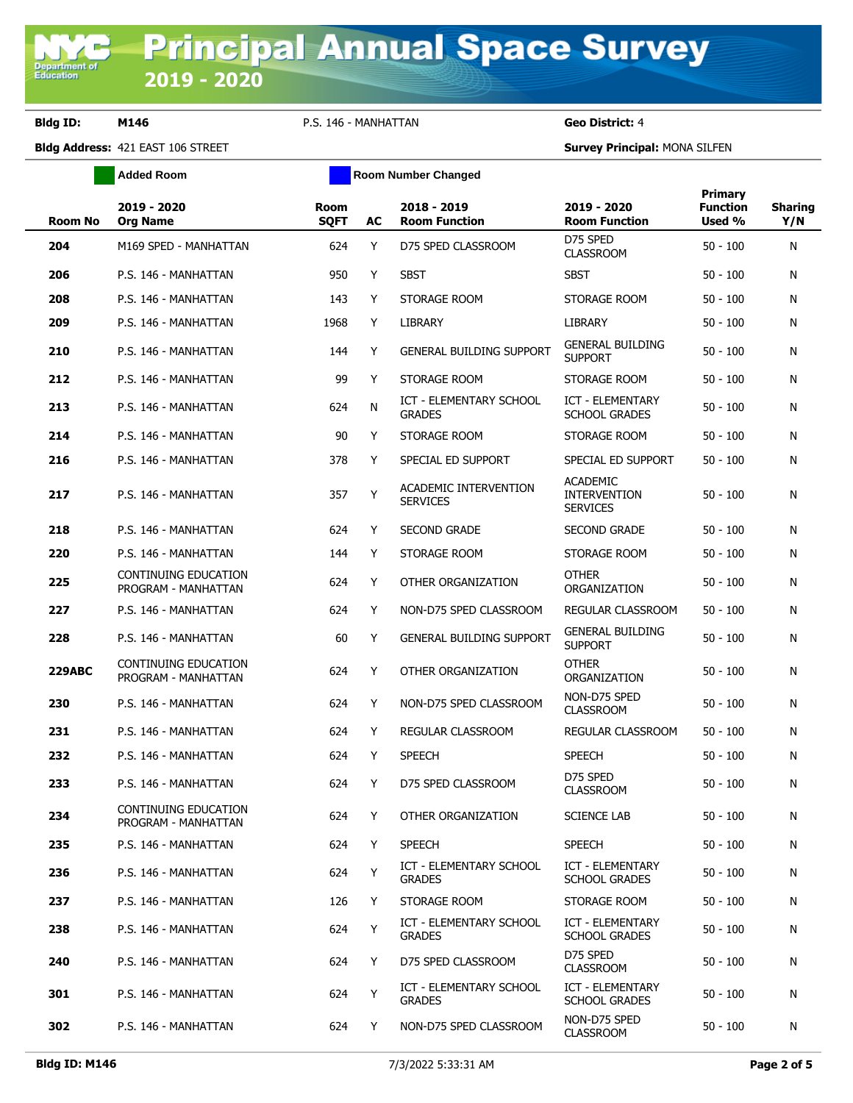**Bldg ID: M146** P.S. 146 - MANHATTAN **Geo District:** 4

**Added Room Room Room Number Changed** 

| <b>Room No</b> | 2019 - 2020<br><b>Org Name</b>                     | <b>Room</b><br><b>SQFT</b> | AC | 2018 - 2019<br><b>Room Function</b>      | 2019 - 2020<br><b>Room Function</b>                       | Primary<br><b>Function</b><br>Used % | <b>Sharing</b><br>Y/N |
|----------------|----------------------------------------------------|----------------------------|----|------------------------------------------|-----------------------------------------------------------|--------------------------------------|-----------------------|
| 204            | M169 SPED - MANHATTAN                              | 624                        | Y  | D75 SPED CLASSROOM                       | D75 SPED<br><b>CLASSROOM</b>                              | $50 - 100$                           | N                     |
| 206            | P.S. 146 - MANHATTAN                               | 950                        | Y  | <b>SBST</b>                              | <b>SBST</b>                                               | $50 - 100$                           | N                     |
| 208            | P.S. 146 - MANHATTAN                               | 143                        | Y  | STORAGE ROOM                             | STORAGE ROOM                                              | $50 - 100$                           | N                     |
| 209            | P.S. 146 - MANHATTAN                               | 1968                       | Y  | LIBRARY                                  | LIBRARY                                                   | $50 - 100$                           | N                     |
| 210            | P.S. 146 - MANHATTAN                               | 144                        | Y  | <b>GENERAL BUILDING SUPPORT</b>          | <b>GENERAL BUILDING</b><br><b>SUPPORT</b>                 | $50 - 100$                           | N                     |
| 212            | P.S. 146 - MANHATTAN                               | 99                         | Y  | STORAGE ROOM                             | STORAGE ROOM                                              | $50 - 100$                           | N                     |
| 213            | P.S. 146 - MANHATTAN                               | 624                        | N  | ICT - ELEMENTARY SCHOOL<br><b>GRADES</b> | <b>ICT - ELEMENTARY</b><br><b>SCHOOL GRADES</b>           | $50 - 100$                           | N                     |
| 214            | P.S. 146 - MANHATTAN                               | 90                         | Y  | STORAGE ROOM                             | STORAGE ROOM                                              | $50 - 100$                           | N                     |
| 216            | P.S. 146 - MANHATTAN                               | 378                        | Y  | SPECIAL ED SUPPORT                       | SPECIAL ED SUPPORT                                        | $50 - 100$                           | N                     |
| 217            | P.S. 146 - MANHATTAN                               | 357                        | Υ  | ACADEMIC INTERVENTION<br><b>SERVICES</b> | <b>ACADEMIC</b><br><b>INTERVENTION</b><br><b>SERVICES</b> | $50 - 100$                           | N                     |
| 218            | P.S. 146 - MANHATTAN                               | 624                        | Y  | <b>SECOND GRADE</b>                      | <b>SECOND GRADE</b>                                       | $50 - 100$                           | N                     |
| 220            | P.S. 146 - MANHATTAN                               | 144                        | Y  | STORAGE ROOM                             | STORAGE ROOM                                              | $50 - 100$                           | N                     |
| 225            | CONTINUING EDUCATION<br>PROGRAM - MANHATTAN        | 624                        | Y  | OTHER ORGANIZATION                       | <b>OTHER</b><br>ORGANIZATION                              | $50 - 100$                           | N                     |
| 227            | P.S. 146 - MANHATTAN                               | 624                        | Y  | NON-D75 SPED CLASSROOM                   | REGULAR CLASSROOM                                         | $50 - 100$                           | N                     |
| 228            | P.S. 146 - MANHATTAN                               | 60                         | Y  | <b>GENERAL BUILDING SUPPORT</b>          | <b>GENERAL BUILDING</b><br><b>SUPPORT</b>                 | $50 - 100$                           | N                     |
| <b>229ABC</b>  | CONTINUING EDUCATION<br>PROGRAM - MANHATTAN        | 624                        | Y  | OTHER ORGANIZATION                       | <b>OTHER</b><br>ORGANIZATION                              | $50 - 100$                           | N                     |
| 230            | P.S. 146 - MANHATTAN                               | 624                        | Y  | NON-D75 SPED CLASSROOM                   | NON-D75 SPED<br><b>CLASSROOM</b>                          | $50 - 100$                           | N                     |
| 231            | P.S. 146 - MANHATTAN                               | 624                        | Y  | REGULAR CLASSROOM                        | <b>REGULAR CLASSROOM</b>                                  | $50 - 100$                           | N                     |
| 232            | P.S. 146 - MANHATTAN                               | 624                        | Y  | <b>SPEECH</b>                            | <b>SPEECH</b>                                             | $50 - 100$                           | N                     |
| 233            | P.S. 146 - MANHATTAN                               | 624                        | Y  | D75 SPED CLASSROOM                       | D75 SPED<br><b>CLASSROOM</b>                              | $50 - 100$                           | N                     |
| 234            | <b>CONTINUING EDUCATION</b><br>PROGRAM - MANHATTAN | 624                        | Y  | OTHER ORGANIZATION                       | <b>SCIENCE LAB</b>                                        | $50 - 100$                           | N                     |
| 235            | P.S. 146 - MANHATTAN                               | 624                        | Y  | <b>SPEECH</b>                            | <b>SPEECH</b>                                             | $50 - 100$                           | N                     |
| 236            | P.S. 146 - MANHATTAN                               | 624                        | Y  | ICT - ELEMENTARY SCHOOL<br><b>GRADES</b> | ICT - ELEMENTARY<br><b>SCHOOL GRADES</b>                  | $50 - 100$                           | N                     |
| 237            | P.S. 146 - MANHATTAN                               | 126                        | Y  | STORAGE ROOM                             | STORAGE ROOM                                              | $50 - 100$                           | N                     |
| 238            | P.S. 146 - MANHATTAN                               | 624                        | Y  | ICT - ELEMENTARY SCHOOL<br><b>GRADES</b> | ICT - ELEMENTARY<br><b>SCHOOL GRADES</b>                  | $50 - 100$                           | N                     |
| 240            | P.S. 146 - MANHATTAN                               | 624                        | Y  | D75 SPED CLASSROOM                       | D75 SPED<br><b>CLASSROOM</b>                              | $50 - 100$                           | N                     |
| 301            | P.S. 146 - MANHATTAN                               | 624                        | Y  | ICT - ELEMENTARY SCHOOL<br><b>GRADES</b> | <b>ICT - ELEMENTARY</b><br><b>SCHOOL GRADES</b>           | $50 - 100$                           | N                     |
| 302            | P.S. 146 - MANHATTAN                               | 624                        | Y  | NON-D75 SPED CLASSROOM                   | NON-D75 SPED<br><b>CLASSROOM</b>                          | $50 - 100$                           | N                     |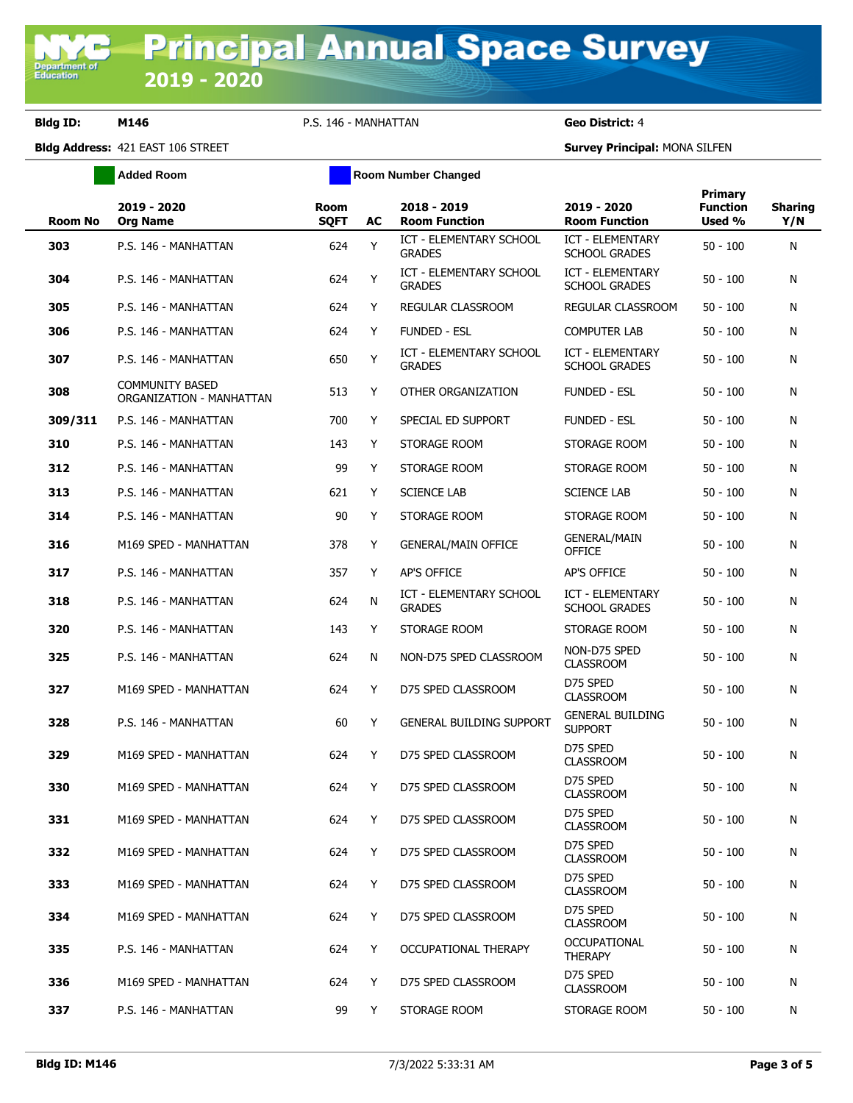**Bldg ID: M146** P.S. 146 - MANHATTAN **Geo District:** 4

**Added Room Room Room Number Changed** 

| <b>Room No</b> | 2019 - 2020<br><b>Org Name</b>                     | <b>Room</b><br><b>SQFT</b> | AC | 2018 - 2019<br><b>Room Function</b>             | 2019 - 2020<br><b>Room Function</b>             | <b>Primary</b><br><b>Function</b><br>Used % | <b>Sharing</b><br>Y/N |
|----------------|----------------------------------------------------|----------------------------|----|-------------------------------------------------|-------------------------------------------------|---------------------------------------------|-----------------------|
| 303            | P.S. 146 - MANHATTAN                               | 624                        | Y  | <b>ICT - ELEMENTARY SCHOOL</b><br><b>GRADES</b> | <b>ICT - ELEMENTARY</b><br><b>SCHOOL GRADES</b> | $50 - 100$                                  | N                     |
| 304            | P.S. 146 - MANHATTAN                               | 624                        | Y  | ICT - ELEMENTARY SCHOOL<br><b>GRADES</b>        | <b>ICT - ELEMENTARY</b><br><b>SCHOOL GRADES</b> | $50 - 100$                                  | N                     |
| 305            | P.S. 146 - MANHATTAN                               | 624                        | Y  | REGULAR CLASSROOM                               | REGULAR CLASSROOM                               | $50 - 100$                                  | N                     |
| 306            | P.S. 146 - MANHATTAN                               | 624                        | Y  | <b>FUNDED - ESL</b>                             | COMPUTER LAB                                    | $50 - 100$                                  | N                     |
| 307            | P.S. 146 - MANHATTAN                               | 650                        | Y  | <b>ICT - ELEMENTARY SCHOOL</b><br><b>GRADES</b> | ICT - ELEMENTARY<br><b>SCHOOL GRADES</b>        | $50 - 100$                                  | N                     |
| 308            | <b>COMMUNITY BASED</b><br>ORGANIZATION - MANHATTAN | 513                        | Y  | OTHER ORGANIZATION                              | <b>FUNDED - ESL</b>                             | $50 - 100$                                  | N                     |
| 309/311        | P.S. 146 - MANHATTAN                               | 700                        | Y  | SPECIAL ED SUPPORT                              | <b>FUNDED - ESL</b>                             | $50 - 100$                                  | N                     |
| 310            | P.S. 146 - MANHATTAN                               | 143                        | Y  | STORAGE ROOM                                    | STORAGE ROOM                                    | $50 - 100$                                  | N                     |
| 312            | P.S. 146 - MANHATTAN                               | 99                         | Y  | STORAGE ROOM                                    | STORAGE ROOM                                    | $50 - 100$                                  | N                     |
| 313            | P.S. 146 - MANHATTAN                               | 621                        | Y  | <b>SCIENCE LAB</b>                              | <b>SCIENCE LAB</b>                              | $50 - 100$                                  | N                     |
| 314            | P.S. 146 - MANHATTAN                               | 90                         | Y  | STORAGE ROOM                                    | STORAGE ROOM                                    | $50 - 100$                                  | N                     |
| 316            | M169 SPED - MANHATTAN                              | 378                        | Y  | <b>GENERAL/MAIN OFFICE</b>                      | <b>GENERAL/MAIN</b><br>OFFICE                   | $50 - 100$                                  | N                     |
| 317            | P.S. 146 - MANHATTAN                               | 357                        | Y  | AP'S OFFICE                                     | AP'S OFFICE                                     | $50 - 100$                                  | N                     |
| 318            | P.S. 146 - MANHATTAN                               | 624                        | N  | ICT - ELEMENTARY SCHOOL<br><b>GRADES</b>        | <b>ICT - ELEMENTARY</b><br><b>SCHOOL GRADES</b> | $50 - 100$                                  | N                     |
| 320            | P.S. 146 - MANHATTAN                               | 143                        | Y  | STORAGE ROOM                                    | STORAGE ROOM                                    | $50 - 100$                                  | N                     |
| 325            | P.S. 146 - MANHATTAN                               | 624                        | N  | NON-D75 SPED CLASSROOM                          | NON-D75 SPED<br><b>CLASSROOM</b>                | $50 - 100$                                  | N                     |
| 327            | M169 SPED - MANHATTAN                              | 624                        | Y  | D75 SPED CLASSROOM                              | D75 SPED<br><b>CLASSROOM</b>                    | $50 - 100$                                  | N                     |
| 328            | P.S. 146 - MANHATTAN                               | 60                         | Y  | <b>GENERAL BUILDING SUPPORT</b>                 | <b>GENERAL BUILDING</b><br><b>SUPPORT</b>       | $50 - 100$                                  | N                     |
| 329            | M169 SPED - MANHATTAN                              | 624                        | Y  | D75 SPED CLASSROOM                              | D75 SPED<br><b>CLASSROOM</b>                    | $50 - 100$                                  | N                     |
| 330            | M169 SPED - MANHATTAN                              | 624                        | Y  | D75 SPED CLASSROOM                              | D75 SPED<br><b>CLASSROOM</b>                    | $50 - 100$                                  | N                     |
| 331            | M169 SPED - MANHATTAN                              | 624                        | Y  | D75 SPED CLASSROOM                              | D75 SPED<br><b>CLASSROOM</b>                    | $50 - 100$                                  | N                     |
| 332            | M169 SPED - MANHATTAN                              | 624                        | Y  | D75 SPED CLASSROOM                              | D75 SPED<br><b>CLASSROOM</b>                    | $50 - 100$                                  | N                     |
| 333            | M169 SPED - MANHATTAN                              | 624                        | Y  | D75 SPED CLASSROOM                              | D75 SPED<br><b>CLASSROOM</b>                    | $50 - 100$                                  | N                     |
| 334            | M169 SPED - MANHATTAN                              | 624                        | Y  | D75 SPED CLASSROOM                              | D75 SPED<br><b>CLASSROOM</b>                    | $50 - 100$                                  | N                     |
| 335            | P.S. 146 - MANHATTAN                               | 624                        | Y  | OCCUPATIONAL THERAPY                            | <b>OCCUPATIONAL</b><br><b>THERAPY</b>           | $50 - 100$                                  | N                     |
| 336            | M169 SPED - MANHATTAN                              | 624                        | Y  | D75 SPED CLASSROOM                              | D75 SPED<br><b>CLASSROOM</b>                    | $50 - 100$                                  | N                     |
| 337            | P.S. 146 - MANHATTAN                               | 99                         | Y  | STORAGE ROOM                                    | STORAGE ROOM                                    | $50 - 100$                                  | N                     |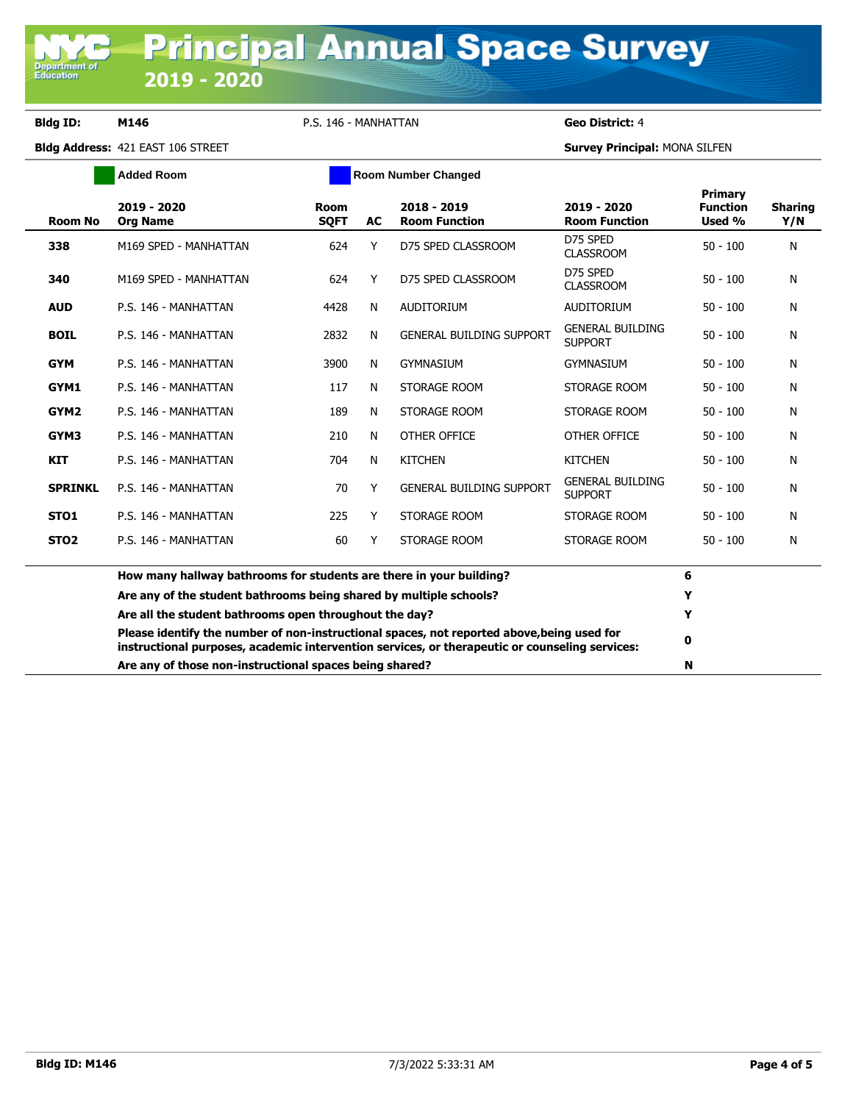**Department of**<br>Education

**Bldg ID: M146** P.S. 146 - MANHATTAN **Geo District:** 4

|                  | <b>Added Room</b>                                                   |                            | <b>Room Number Changed</b> |                                                                                                                                                                                              |                                           |                                             |                       |
|------------------|---------------------------------------------------------------------|----------------------------|----------------------------|----------------------------------------------------------------------------------------------------------------------------------------------------------------------------------------------|-------------------------------------------|---------------------------------------------|-----------------------|
| Room No          | 2019 - 2020<br><b>Org Name</b>                                      | <b>Room</b><br><b>SOFT</b> | <b>AC</b>                  | 2018 - 2019<br><b>Room Function</b>                                                                                                                                                          | 2019 - 2020<br><b>Room Function</b>       | <b>Primary</b><br><b>Function</b><br>Used % | <b>Sharing</b><br>Y/N |
| 338              | M169 SPED - MANHATTAN                                               | 624                        | Y                          | D75 SPED CLASSROOM                                                                                                                                                                           | D75 SPED<br><b>CLASSROOM</b>              | $50 - 100$                                  | N                     |
| 340              | M169 SPED - MANHATTAN                                               | 624                        | Y                          | D75 SPED CLASSROOM                                                                                                                                                                           | D75 SPED<br><b>CLASSROOM</b>              | $50 - 100$                                  | N                     |
| <b>AUD</b>       | P.S. 146 - MANHATTAN                                                | 4428                       | N                          | <b>AUDITORIUM</b>                                                                                                                                                                            | <b>AUDITORIUM</b>                         | $50 - 100$                                  | N                     |
| <b>BOIL</b>      | P.S. 146 - MANHATTAN                                                | 2832                       | N                          | <b>GENERAL BUILDING SUPPORT</b>                                                                                                                                                              | <b>GENERAL BUILDING</b><br><b>SUPPORT</b> | $50 - 100$                                  | N                     |
| <b>GYM</b>       | P.S. 146 - MANHATTAN                                                | 3900                       | N                          | <b>GYMNASIUM</b>                                                                                                                                                                             | <b>GYMNASIUM</b>                          | $50 - 100$                                  | N                     |
| GYM1             | P.S. 146 - MANHATTAN                                                | 117                        | N                          | STORAGE ROOM                                                                                                                                                                                 | STORAGE ROOM                              | $50 - 100$                                  | N                     |
| GYM <sub>2</sub> | P.S. 146 - MANHATTAN                                                | 189                        | N                          | STORAGE ROOM                                                                                                                                                                                 | STORAGE ROOM                              | $50 - 100$                                  | N                     |
| GYM3             | P.S. 146 - MANHATTAN                                                | 210                        | N                          | OTHER OFFICE                                                                                                                                                                                 | OTHER OFFICE                              | $50 - 100$                                  | N                     |
| <b>KIT</b>       | P.S. 146 - MANHATTAN                                                | 704                        | N                          | <b>KITCHEN</b>                                                                                                                                                                               | <b>KITCHEN</b>                            | $50 - 100$                                  | N                     |
| <b>SPRINKL</b>   | P.S. 146 - MANHATTAN                                                | 70                         | Y                          | <b>GENERAL BUILDING SUPPORT</b>                                                                                                                                                              | <b>GENERAL BUILDING</b><br><b>SUPPORT</b> | $50 - 100$                                  | N                     |
| STO <sub>1</sub> | P.S. 146 - MANHATTAN                                                | 225                        | Y                          | STORAGE ROOM                                                                                                                                                                                 | STORAGE ROOM                              | $50 - 100$                                  | N                     |
| STO <sub>2</sub> | P.S. 146 - MANHATTAN                                                | 60                         | Y                          | STORAGE ROOM                                                                                                                                                                                 | STORAGE ROOM                              | $50 - 100$                                  | N                     |
|                  | How many hallway bathrooms for students are there in your building? |                            |                            |                                                                                                                                                                                              |                                           | 6                                           |                       |
|                  | Are any of the student bathrooms being shared by multiple schools?  |                            |                            |                                                                                                                                                                                              |                                           | Y                                           |                       |
|                  | Are all the student bathrooms open throughout the day?              |                            |                            |                                                                                                                                                                                              |                                           | Y                                           |                       |
|                  |                                                                     |                            |                            | Please identify the number of non-instructional spaces, not reported above, being used for<br>instructional purposes, academic intervention services, or therapeutic or counseling services: |                                           | 0                                           |                       |
|                  | Are any of those non-instructional spaces being shared?             |                            |                            |                                                                                                                                                                                              |                                           | N                                           |                       |